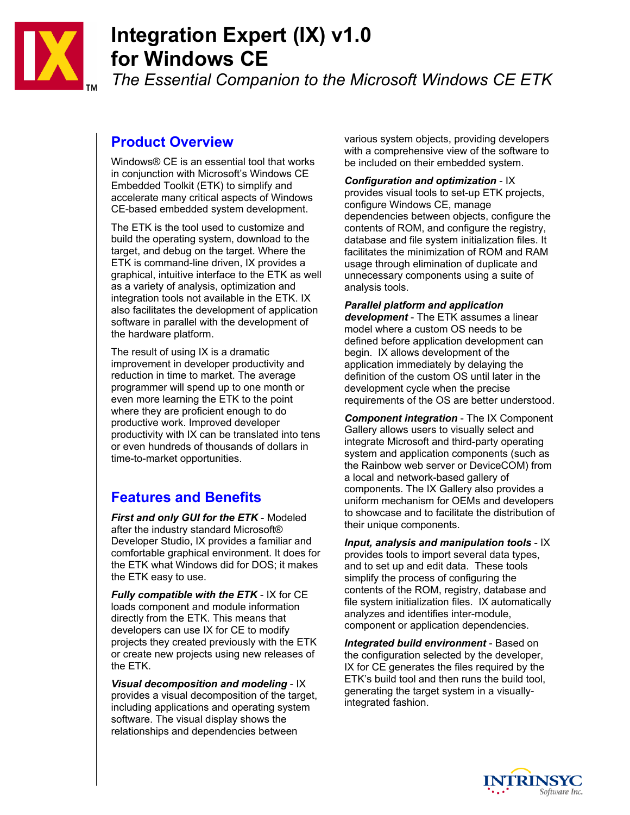

# **Integration Expert (IX) v1.0 for Windows CE**

*The Essential Companion to the Microsoft Windows CE ETK* 

#### **Product Overview**

Windows® CE is an essential tool that works in conjunction with Microsoft's Windows CE Embedded Toolkit (ETK) to simplify and accelerate many critical aspects of Windows CE-based embedded system development.

The ETK is the tool used to customize and build the operating system, download to the target, and debug on the target. Where the ETK is command-line driven, IX provides a graphical, intuitive interface to the ETK as well as a variety of analysis, optimization and integration tools not available in the ETK. IX also facilitates the development of application software in parallel with the development of the hardware platform.

The result of using IX is a dramatic improvement in developer productivity and reduction in time to market. The average programmer will spend up to one month or even more learning the ETK to the point where they are proficient enough to do productive work. Improved developer productivity with IX can be translated into tens or even hundreds of thousands of dollars in time-to-market opportunities.

## **Features and Benefits**

*First and only GUI for the ETK* - Modeled after the industry standard Microsoft® Developer Studio, IX provides a familiar and comfortable graphical environment. It does for the ETK what Windows did for DOS; it makes the ETK easy to use.

*Fully compatible with the ETK* - IX for CE loads component and module information directly from the ETK. This means that developers can use IX for CE to modify projects they created previously with the ETK or create new projects using new releases of the ETK.

*Visual decomposition and modeling* - IX provides a visual decomposition of the target, including applications and operating system software. The visual display shows the relationships and dependencies between

various system objects, providing developers with a comprehensive view of the software to be included on their embedded system.

*Configuration and optimization* - IX provides visual tools to set-up ETK projects, configure Windows CE, manage dependencies between objects, configure the contents of ROM, and configure the registry, database and file system initialization files. It facilitates the minimization of ROM and RAM usage through elimination of duplicate and unnecessary components using a suite of analysis tools.

*Parallel platform and application development* - The ETK assumes a linear model where a custom OS needs to be defined before application development can begin. IX allows development of the application immediately by delaying the definition of the custom OS until later in the development cycle when the precise

requirements of the OS are better understood.

*Component integration* - The IX Component Gallery allows users to visually select and integrate Microsoft and third-party operating system and application components (such as the Rainbow web server or DeviceCOM) from a local and network-based gallery of components. The IX Gallery also provides a uniform mechanism for OEMs and developers to showcase and to facilitate the distribution of their unique components.

*Input, analysis and manipulation tools* - IX provides tools to import several data types, and to set up and edit data. These tools simplify the process of configuring the contents of the ROM, registry, database and file system initialization files. IX automatically analyzes and identifies inter-module, component or application dependencies.

*Integrated build environment* - Based on the configuration selected by the developer, IX for CE generates the files required by the ETK's build tool and then runs the build tool, generating the target system in a visuallyintegrated fashion.